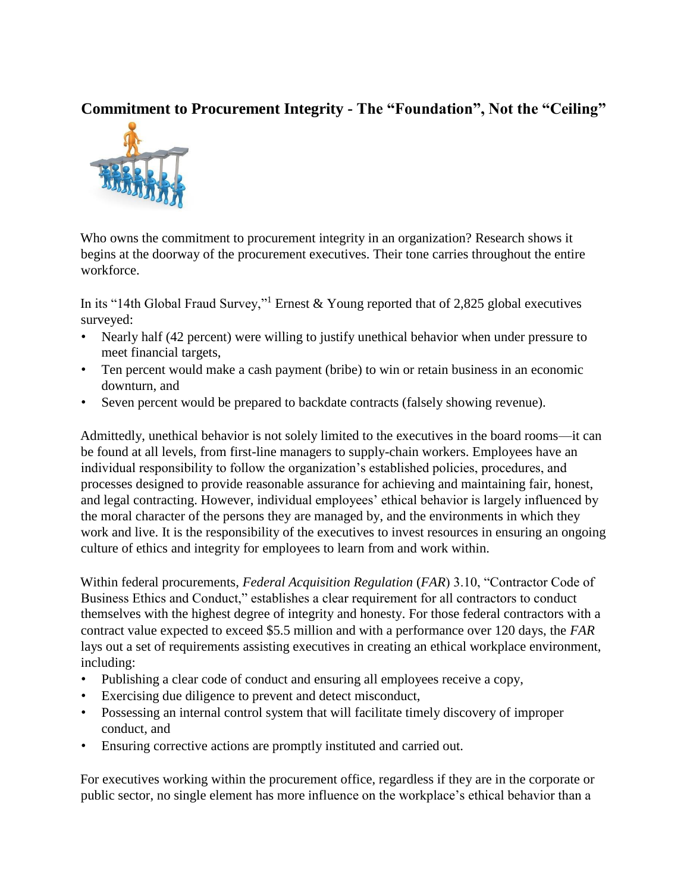## **Commitment to Procurement Integrity - The "Foundation", Not the "Ceiling"**



Who owns the commitment to procurement integrity in an organization? Research shows it begins at the doorway of the procurement executives. Their tone carries throughout the entire workforce.

In its "14th Global Fraud Survey,"<sup>1</sup> Ernest & Young reported that of 2,825 global executives surveyed:

- Nearly half (42 percent) were willing to justify unethical behavior when under pressure to meet financial targets,
- Ten percent would make a cash payment (bribe) to win or retain business in an economic downturn, and
- Seven percent would be prepared to backdate contracts (falsely showing revenue).

Admittedly, unethical behavior is not solely limited to the executives in the board rooms—it can be found at all levels, from first-line managers to supply-chain workers. Employees have an individual responsibility to follow the organization's established policies, procedures, and processes designed to provide reasonable assurance for achieving and maintaining fair, honest, and legal contracting. However, individual employees' ethical behavior is largely influenced by the moral character of the persons they are managed by, and the environments in which they work and live. It is the responsibility of the executives to invest resources in ensuring an ongoing culture of ethics and integrity for employees to learn from and work within.

Within federal procurements, *Federal Acquisition Regulation* (*FAR*) 3.10, "Contractor Code of Business Ethics and Conduct," establishes a clear requirement for all contractors to conduct themselves with the highest degree of integrity and honesty. For those federal contractors with a contract value expected to exceed \$5.5 million and with a performance over 120 days, the *FAR* lays out a set of requirements assisting executives in creating an ethical workplace environment, including:

- Publishing a clear code of conduct and ensuring all employees receive a copy,
- Exercising due diligence to prevent and detect misconduct,
- Possessing an internal control system that will facilitate timely discovery of improper conduct, and
- Ensuring corrective actions are promptly instituted and carried out.

For executives working within the procurement office, regardless if they are in the corporate or public sector, no single element has more influence on the workplace's ethical behavior than a